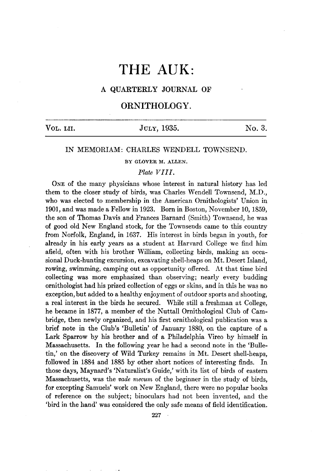# **THE AUK-**

## **A QUARTERLY JOURNAL OF**

# **ORNITHOLOGY.**

| Vol. LII. | JULY, 1935. | No. 3. |
|-----------|-------------|--------|
|           |             |        |

### **IN MEMORIAM: CHARLES WENDELL TOWNSEND.**

#### **BY GLOVER M. ALLEN.**

#### **\_Plate VIII.**

ONE of the many physicians whose interest in natural history has led **them to the closer study of birds, was Charles Wendell Townsend, M.D., who was elected to membership in the American Ornithologists' Union in 1001, and was made a Fellow in 1023. Born in Boston, November 10, 1850, the son of Thomas Davis and Frances Barnard (Smith) Townsend, he was of good old New England stock, for the Townsends came to this country from Norfolk, England, in 1637. His interest in birds began in youth, for already in his early years as a student at Harvard College we find him afield, often with his brother William, collecting birds, making an occa**sional Duck-hunting excursion, excavating shell-heaps on Mt. Desert Island, **rowing, swimming, camping out as opportunity offered. At that time bird eolleeting was more emphasized than observing; nearly every budding ornithologist had his prized collection of eggs or skins, and in this he was no exception, but added to a healthy enjoyment of outdoor sports and shooting, a real interest in the birds he secured. While still a freshman at College, he became in 1877, a member of the Nuttall Ornithological Club of Cambridge, then newly organized, and his first ornithological publication was a brief note in the Club's 'Bulletin' of January 1880, on the capture of a Lark Sparrow by his brother and of a Philadelphia Vireo by himself in Massachusetts. In the following year he had a second note in the 'Bulletin,' on the discovery of Wild Turkey remains in Mr. Desert shell-heaps, followed in 1884 and 1885 by other short notices of interesting finds. In those days, Maynard's 'Naturalist's Guide,' with its list of birds of eastern Massachusetts, was the vade mecum of the beginner in the study of birds, for excepting Samuels' work on New England, there were no popular books of reference on the subject; binoculars had not been invented, and the 'bird in the hand' was considered the only safe means of field identification.**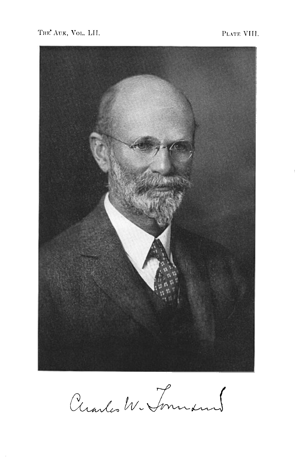THE AUK, VOL. LII. PLATE VIII.



Ander W. Sommann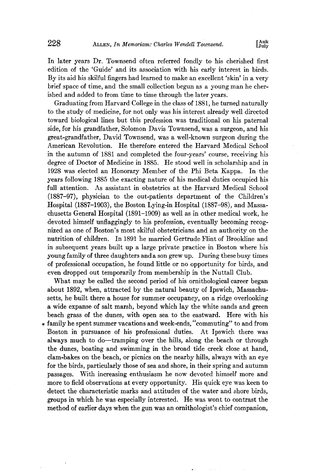**In later years Dr. Townsend often referred fondly to his cherished first edition of the 'Guide' and its association with his early interest in birds. By its aid his skilful fingers had learned to make an excellent 'skin' in a very brief space of time, and the small collection begun as a young man he cherished and added to from time to time through the later years.** 

**Graduating from Harvard College in the class of 1881, he turned naturally to the study of medicine, for not only was his interest already well directed toward biological lines but this profession was traditional on his paternal side, for his grandfather, Solomon Davis Townsend, was a surgeon, and his great-grandfather, David Townsend, was a well-known surgeon during the American Revolution. He therefore entered the Harvard Medical School in the autumn of 1881 and completed the four-years' course, receiving his degree of Doctor of Medicine in 1885. He stood well in scholarship and in 1928 was elected an Honorary Member of the Phi Beta Kappa. In the years following 1885 the exacting nature of his medical duties occupied his full attention. As assistant in obstetrics at the Harvard Medical School (1887-97), physician to the out-patients department of the Children's Hospital (1887-1903), the Boston Lying-in Hospital (1887-98), and Massachusetts General Hospital (1891-1909) as well as in other medical work, he devoted himself unflaggingly to his profession, eventually becoming recognized as one of Boston's most skilful obstetricians and an authority on the nutrition of children. In 1891 he married Gertrude Flint of Brookline and in subsequent years built up a large private practice in Boston where his young family of three daughters anda son grew up. During these busy times of professional occupation, he found little or no opportunity for birds, and even dropped out temporarily from membership in the Nuttall Club.** 

**What may be called the second period of his ornithological career began about 1892, when, attracted by the natural beauty of Ipswich, Massachusetts, he built there a house for summer occupancy, on a ridge overlooking a wide expanse of salt marsh, beyond which lay the white sands and green beach grass of the dunes, with open sea to the eastward. Here with his family he spent summer vacations and week-ends, "commuting" to and from Boston in pursuance of his professional duties. At Ipswich there was always much to do--tramping over the hills, along the beach or through the dunes, boating and swimming in the broad tide creek close at hand, elam-bakes on the beach, or picnics on the nearby hills, always with an eye for the birds, particularly those of sea and shore, in their spring and autumn passages. With increasing enthusiasm he now devoted himself more and more to field observations at every opportunity. His quick eye was keen to detect the characteristic marks and attitudes of the water and shore birds,**  groups in which he was especially interested. He was wont to contrast the **method of earlier days when the gun was an ornithologist's chief companion,**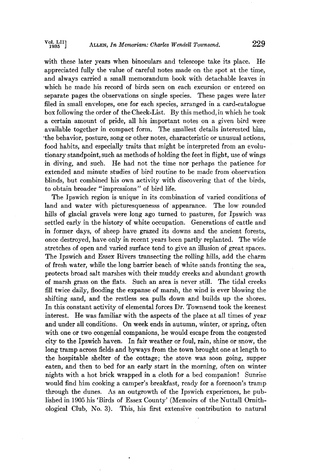**with these later years when binoculars and telescope take its place. He appreciated fully the value of careful notes made on the spot at the time, and always carried a small memorandum book with detachable leaves in which he made his record of birds seen on each excursion or entered on separate pages the observations on single species. These pages were later filed in small envelopes, one for each species, arranged in a card-catalogue box following the order of the Check-List. By this method, in which he took a certain amount of pride, all his important notes on a given bird were available together in compact form. The smallest details interested him, 'the behavior, posture, song or other notes, characteristic or unusual actions, food habits, and especially traits that might be interpreted from an evolutionary standpoint, such as methods of holding the feet in flight, use of wings in diving, and such. He had not the time nor perhaps the patience for extended and minute studies of bird routine to be made from observation blinds, but combined his own activity with discovering that of the birds, to obtain broader "impressions" of bird life.** 

**The Ipswich region is unique in its combination of varied conditions of land and water with picturesquenesss of'appearance. The low rounded hills of glacial gravels were long ago turned to pastures, for Ipswich was settled early in the history of white occupation. Generations of cattle and in former days, of sheep have grazed its downs and the ancient forests, once destroyed, have only in recent years been partly replanted. The wide stretches of open and varied surface tend to give an illusion of great spaces. The Ipswich and Essex Rivers transecting the rolling hills, add the charm of fresh water, while the long barrier beach of white sands fronting the sea, protects broad salt marshes with their muddy creeks and abundant growth of marsh grass on the flats. Such an area is never still. The tidal creeks fill twice daily, flooding the expanse of marsh, the wind is ever blowing the shifting sand, and the restless sea pulls down and builds up the shores. In this constant activity of elemental forces Dr. Townsend took the keenest interest. He was familiar with the aspects of the place at all times of year and under all conditions. On week ends in autumn, winter, or spring, often with one or two congenial companions, he would escape from the congested city to the Ipswich haven. In fair weather or foul, rain, shine or snow, the long tramp across fields and byways from the town brought one at length to the hospitable shelter of the cottage; the stove was soon going, supper eaten, and then to bed for an early start in the morning, often on winter nights with a hot brick wrapped in a cloth for a bed companion! Sunrise would find him cooking a camper's breakfast, ready for a forenoon's tramp through the dunes. As an outgrowth of the Ipswich experiences, he published in 1905 his 'Birds of Essex County' (Memoirs of the Nuttall Ornith-**This, his first extensive contribution to natural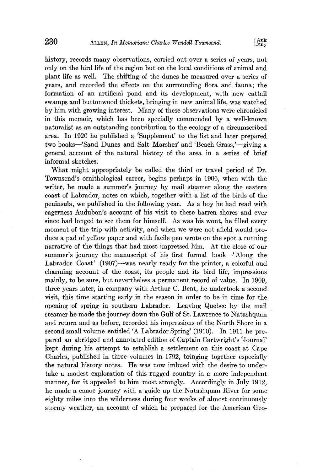**history, records many observations, carried out over a series of years, not only on the bird life of the region but on the local conditions of animal and plant life as well. The shifting of the dunes he measured over a series of years, and recorded the effects on the surrounding flora and fauna; the formation of an artificial pond and its development, with new cattail swamps and buttonwood thickets, bringing in new animal life, was watched by him with growing interest. Many of these observations were chronicled in this memoir, which has been specially commended by a well-known naturalist as an outstanding contribution to the ecology of a circumscribed area. In 1920 he published a'Supplement' to the list and later prepared two books--'Sand Dunes and Salt Marshes' and 'Beach Grass,'--giving a general account of the natural history of the area in a series of brief informal sketches.** 

**What might appropriately be called the third or travel period of Dr. Townscnd's ornithological career, begins perhaps in 1906, when with the**  writer, he made a summer's journey by mail steamer along the eastern **coast of Labrador, notes on which, together with a list of the birds of the peninsula, we published in the following year. As a boy he had read with eagerness Audubon's account of his visit to these barren shores and ever since had longed to see them for himself. As was his wont, he filled every moment of the trip with activity, and when we were not afield would produce a pad of yellow paper and with facile pen wrote on the spot a running narrative of the things that had most impressed him. At the close of our**  summer's journey the manuscript of his first formal book-'Along the Labrador Coast' (1907)—was nearly ready for the printer, a colorful and **charming account of the coast, its people and its bird life, impressions**  mainly, to be sure, but nevertheless a permanent record of value. In 1909, **three years later, in company with Arthur C. Bent, he undertook a second visit, this time starting early in the season in order to be in time for the opening of spring in southern Labrador. Leaving Quebec by the mail steamer he made the journey down the Gulf of St. Lawrence to Natashquan and return and as before, recorded his impressions of the North Shore in a second small volume entitled 'A Labrador Spring' (1910). In 1911 he prepared an abridged and annotated edition of Captain Cartwright's 'Journal' kept during his attempt to establish a settlement on this coast at Cape Charles, published in three volumes in 1792, bringing together especially the natural history notes. He was now imbued with the desire to undertake a modest exploration of this rugged country in a more independent manner, for it appealed to him most strongly. Accordingly in July 1912, he made a canoe journey with a guide up the Natashquan River for some eighty miles into the wilderness during four weeks of almost continuously stormy weather, an account of which he prepared for the American Geo-**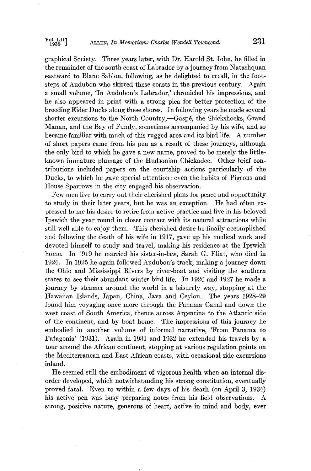**graphical Society. Three years later, with Dr. Harold St. John, he filled in the remainder of the south coast of Labrador by a journey from Natashquan eastward to Blanc Sablon, following, as he delighted to recall, in the footsteps of Audubon who skirted these coasts in the previous century. Again a small volume, 'In Audubon's Labrador,' chronicled his impressions, and he also appeared in print with a strong plea for better protection of the breeding Eider Ducks along these shores. In following years he made several**  shorter excursions to the North Country,—Gaspé, the Shickshocks, Grand **Manan, and the Bay of Fundy, sometimes accompanied by his wife, and so became familiar with much of this rugged area and its bird life. A number of short papers came from his pen as a result of these journeys, although the only bird to which he gave a new name, proved to be merely the littleknown immature plumage of the Hudsonian Chickadee. Other brief contributions included papers on the courtship actions particularly of the Ducks, to which he gave special attention; even the habits of Pigeons and House Sparrows in the city engaged his observation.** 

**Few men live to carry out their cherished plans for peace and opportunity to study in their later years, but he was an exception. He had often expressed to me his desire to retire from active practice and live in his beloved Ipswich the year round in closer contact with its natural attractions while still well able to enjoy them. This cherished desire he finally accomplished and following the death of his wife in 1917, gave up his medical work and devoted himself to study and travel, making his residence at the Ipswich**  home. In 1919 he married his sister-in-law, Sarah G. Flint, who died in **1924. In 1925 he again followed Audubon's track, making a journey down the Ohio and Mississippi Rivers by river-boat and visiting the southern states to see their abundant winter bird life. In 1926 and 1927 he made a journey by steamer around the world in a leisurely way, stopping at the Hawaiian Islands, Japan, China, Java and Ceylon. The years 1928-29 found him voyaging once more through the Panama Canal and down the west coast of South America, thence across Argentina to the Atlantic side of the continent, and by boat home. The impressions of this journey he embodied in another volume of informal narrative, 'From Panama to Patagonia' (1931). Again in 1931 and 1932 he extended his travels by a tour around the African continent, stopping at various regulation points on the Mediterranean and East African coasts, with occasional side excursions 'inland.** 

**He seemed still the embodiment of vigorous health when an internal disorder developed, which notwithstanding his strong constitution, eventually proved fatal. Even to within a few days of his death (on April 3, 1934)**  his active pen was busy preparing notes from his field observations. **strong, positive nature, generous of heart, active in mind and body, ever**